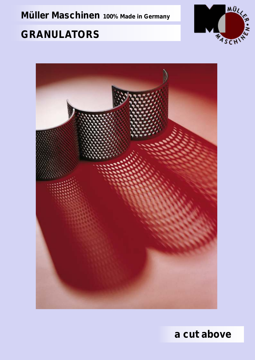**Müller Maschinen** *100% Made in Germany*

# **GRANULATORS**





*a cut above*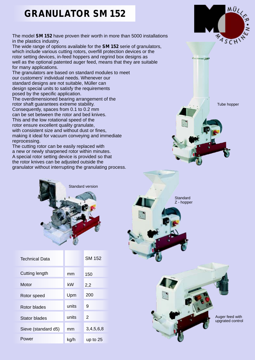#### **GRANULATOR SM 152**

The model *SM 152* have proven their worth in more than 5000 installations in the plastics industry.

The wide range of options available for the *SM 152* serie of granulators, which include various cutting rotors, overfill protection devices or the rotor setting devices, in-feed hoppers and regrind box designs as well as the optional patented auger feed, means that they are suitable for many applications.

The granulators are based on standard modules to meet our customers' individual needs. Whenever our standard designs are not suitable, Müller can design special units to satisfy the requirements posed by the specific application.

The overdimensioned bearing arrangement of the rotor shaft guarantees extreme stability. Consequently, spaces from 0.1 to 0.2 mm can be set between the rotor and bed knives. This and the low rotational speed of the

rotor ensure excellent quality granulate, with consistent size and without dust or fines, making it ideal for vacuum conveying and immediate reprocessing.

The cutting rotor can be easily replaced with a new or newly sharpened rotor within minutes. A special rotor setting device is provided so that the rotor knives can be adjusted outside the granulator without interrupting the granulating process.



| <b>Technical Data</b> |       | SM 152     |
|-----------------------|-------|------------|
| Cutting length        | mm    | 150        |
| Motor                 | kW    | 2,2        |
| Rotor speed           | Upm   | 200        |
| Rotor blades          | units | 9          |
| Stator blades         | units | 2          |
| Sieve (standard d5)   | mm    | 3,4,5,6,8  |
| Power                 | kg/h  | up to $25$ |



Tube hopper





Auger feed with upgrated control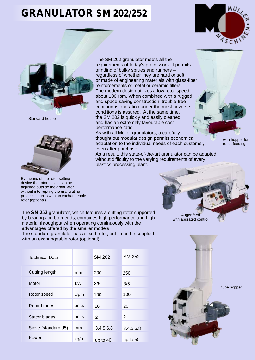## **GRANULATOR SM 202/252**





Standard hopper



By means of the rotor setting device the rotor knives can be adjusted outside the granulator without interrupting the granulating process in units with an exchangeable rotor (optional).

The SM 202 granulator meets all the requirements of today's processors. It permits grinding of bulky sprues and runners – regardless of whether they are hard or soft, or made of engineering materials with glass-fiber reinforcements or metal or ceramic fillers. The modern design utilizes a low rotor speed about 100 rpm. When combined with a rugged and space-saving construction, trouble-free continuous operation under the most adverse conditions is assured. At the same time, the SM 202 is quickly and easily cleaned and has an extremely favourable costperformance ratio.

As with all Müller granulators, a carefully thought out modular design permits economical adaptation to the individual needs of each customer, even after purchase.

As a result, this state-of-the-art granulator can be adapted without difficulty to the varying requirements of every plastics processing plant.

with hopper for robot feeding



The *SM 252* granulator, which features a cutting rotor supported by bearings on both ends, combines high performance and high material throughput when operating continuously with the advantages offered by the smaller models.

The standard granulator has a fixed rotor, but it can be supplied with an exchangeable rotor (optional),

| <b>Technical Data</b> |       | <b>SM 202</b> | <b>SM 252</b> |
|-----------------------|-------|---------------|---------------|
| <b>Cutting length</b> | mm    | 200           | 250           |
| Motor                 | kW    | 3/5           | 3/5           |
| Rotor speed           | Upm   | 100           | 100           |
| Rotor blades          | units | 16            | 20            |
| Stator blades         | units | 2             | 2             |
| Sieve (standard d5)   | mm    | 3,4,5,6,8     | 3,4,5,6,8     |
| Power                 | kg/h  | up to 40      | up to 50      |